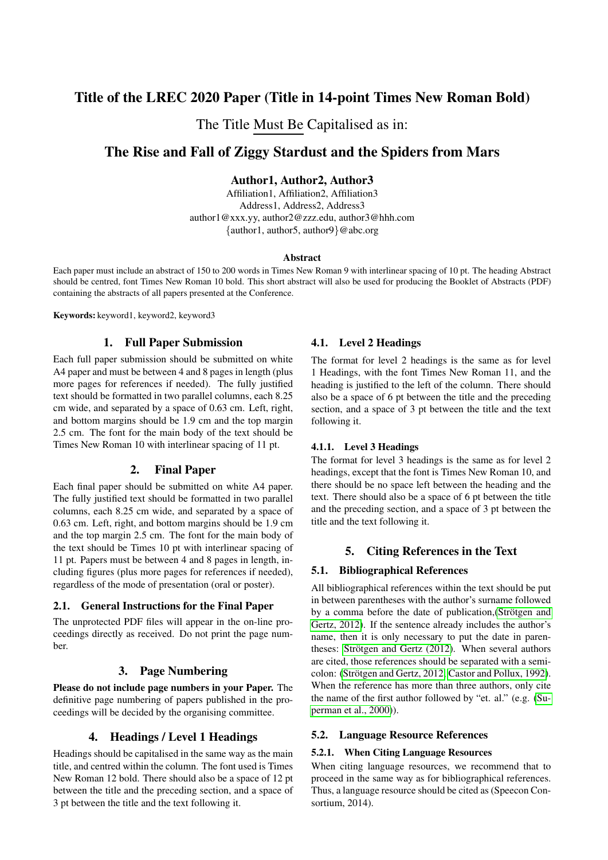# Title of the LREC 2020 Paper (Title in 14-point Times New Roman Bold)

The Title Must Be Capitalised as in:

# The Rise and Fall of Ziggy Stardust and the Spiders from Mars

## Author1, Author2, Author3

Affiliation1, Affiliation2, Affiliation3 Address1, Address2, Address3 author1@xxx.yy, author2@zzz.edu, author3@hhh.com {author1, author5, author9}@abc.org

#### **Abstract**

Each paper must include an abstract of 150 to 200 words in Times New Roman 9 with interlinear spacing of 10 pt. The heading Abstract should be centred, font Times New Roman 10 bold. This short abstract will also be used for producing the Booklet of Abstracts (PDF) containing the abstracts of all papers presented at the Conference.

Keywords: keyword1, keyword2, keyword3

## 1. Full Paper Submission

Each full paper submission should be submitted on white A4 paper and must be between 4 and 8 pages in length (plus more pages for references if needed). The fully justified text should be formatted in two parallel columns, each 8.25 cm wide, and separated by a space of 0.63 cm. Left, right, and bottom margins should be 1.9 cm and the top margin 2.5 cm. The font for the main body of the text should be Times New Roman 10 with interlinear spacing of 11 pt.

## 2. Final Paper

Each final paper should be submitted on white A4 paper. The fully justified text should be formatted in two parallel columns, each 8.25 cm wide, and separated by a space of 0.63 cm. Left, right, and bottom margins should be 1.9 cm and the top margin 2.5 cm. The font for the main body of the text should be Times 10 pt with interlinear spacing of 11 pt. Papers must be between 4 and 8 pages in length, including figures (plus more pages for references if needed), regardless of the mode of presentation (oral or poster).

### 2.1. General Instructions for the Final Paper

The unprotected PDF files will appear in the on-line proceedings directly as received. Do not print the page number.

## 3. Page Numbering

Please do not include page numbers in your Paper. The definitive page numbering of papers published in the proceedings will be decided by the organising committee.

## 4. Headings / Level 1 Headings

Headings should be capitalised in the same way as the main title, and centred within the column. The font used is Times New Roman 12 bold. There should also be a space of 12 pt between the title and the preceding section, and a space of 3 pt between the title and the text following it.

## 4.1. Level 2 Headings

The format for level 2 headings is the same as for level 1 Headings, with the font Times New Roman 11, and the heading is justified to the left of the column. There should also be a space of 6 pt between the title and the preceding section, and a space of 3 pt between the title and the text following it.

### 4.1.1. Level 3 Headings

The format for level 3 headings is the same as for level 2 headings, except that the font is Times New Roman 10, and there should be no space left between the heading and the text. There should also be a space of 6 pt between the title and the preceding section, and a space of 3 pt between the title and the text following it.

## 5. Citing References in the Text

## 5.1. Bibliographical References

All bibliographical references within the text should be put in between parentheses with the author's surname followed by a comma before the date of publication,(Strötgen and [Gertz, 2012\)](#page-1-0). If the sentence already includes the author's name, then it is only necessary to put the date in parentheses: Strötgen and Gertz (2012). When several authors are cited, those references should be separated with a semi-colon: (Strötgen and Gertz, 2012; [Castor and Pollux, 1992\)](#page-1-1). When the reference has more than three authors, only cite the name of the first author followed by "et. al." (e.g. [\(Su](#page-1-2)[perman et al., 2000\)](#page-1-2)).

### 5.2. Language Resource References

### 5.2.1. When Citing Language Resources

When citing language resources, we recommend that to proceed in the same way as for bibliographical references. Thus, a language resource should be cited as (Speecon Consortium, 2014).